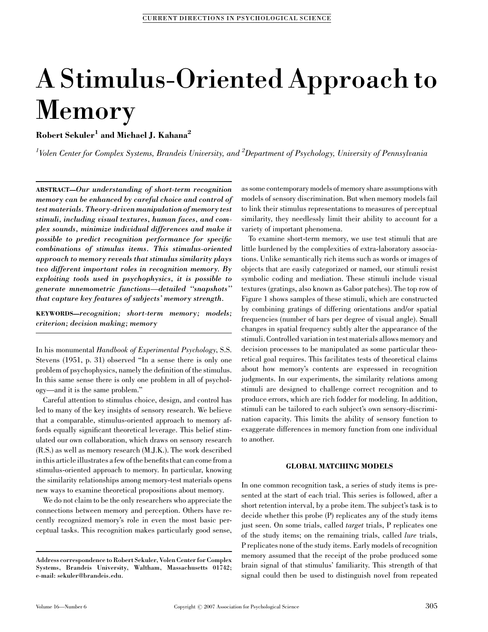# A Stimulus-Oriented Approach to **Memory**

Robert Sekuler<sup>1</sup> and Michael J. Kahana<sup>2</sup>

 $^l$ Volen Center for Complex Systems, Brandeis University, and  $^2$ Department of Psychology, University of Pennsylvania

ABSTRACT—Our understanding of short-term recognition memory can be enhanced by careful choice and control of test materials. Theory-driven manipulation of memory test stimuli, including visual textures, human faces, and complex sounds, minimize individual differences and make it possible to predict recognition performance for specific combinations of stimulus items. This stimulus-oriented approach to memory reveals that stimulus similarity plays two different important roles in recognition memory. By exploiting tools used in psychophysics, it is possible to generate mnemometric functions—detailed ''snapshots'' that capture key features of subjects' memory strength.

KEYWORDS—recognition; short-term memory; models; criterion; decision making; memory

In his monumental Handbook of Experimental Psychology, S.S. Stevens (1951, p. 31) observed ''In a sense there is only one problem of psychophysics, namely the definition of the stimulus. In this same sense there is only one problem in all of psychology—and it is the same problem.''

Careful attention to stimulus choice, design, and control has led to many of the key insights of sensory research. We believe that a comparable, stimulus-oriented approach to memory affords equally significant theoretical leverage. This belief stimulated our own collaboration, which draws on sensory research (R.S.) as well as memory research (M.J.K.). The work described in this article illustrates a few of the benefits that can come from a stimulus-oriented approach to memory. In particular, knowing the similarity relationships among memory-test materials opens new ways to examine theoretical propositions about memory.

We do not claim to be the only researchers who appreciate the connections between memory and perception. Others have recently recognized memory's role in even the most basic perceptual tasks. This recognition makes particularly good sense, as some contemporary models of memory share assumptions with models of sensory discrimination. But when memory models fail to link their stimulus representations to measures of perceptual similarity, they needlessly limit their ability to account for a variety of important phenomena.

To examine short-term memory, we use test stimuli that are little burdened by the complexities of extra-laboratory associations. Unlike semantically rich items such as words or images of objects that are easily categorized or named, our stimuli resist symbolic coding and mediation. These stimuli include visual textures (gratings, also known as Gabor patches). The top row of Figure 1 shows samples of these stimuli, which are constructed by combining gratings of differing orientations and/or spatial frequencies (number of bars per degree of visual angle). Small changes in spatial frequency subtly alter the appearance of the stimuli. Controlled variation in test materials allows memory and decision processes to be manipulated as some particular theoretical goal requires. This facilitates tests of theoretical claims about how memory's contents are expressed in recognition judgments. In our experiments, the similarity relations among stimuli are designed to challenge correct recognition and to produce errors, which are rich fodder for modeling. In addition, stimuli can be tailored to each subject's own sensory-discrimination capacity. This limits the ability of sensory function to exaggerate differences in memory function from one individual to another.

## GLOBAL MATCHING MODELS

In one common recognition task, a series of study items is presented at the start of each trial. This series is followed, after a short retention interval, by a probe item. The subject's task is to decide whether this probe (P) replicates any of the study items just seen. On some trials, called target trials, P replicates one of the study items; on the remaining trials, called lure trials, P replicates none of the study items. Early models of recognition memory assumed that the receipt of the probe produced some brain signal of that stimulus' familiarity. This strength of that signal could then be used to distinguish novel from repeated

Address correspondence to Robert Sekuler, Volen Center for Complex Systems, Brandeis University, Waltham, Massachusetts 01742; e-mail: sekuler@brandeis.edu.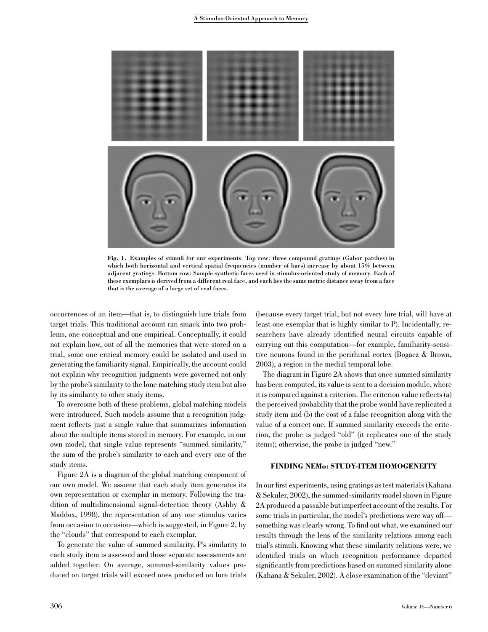

Fig. 1. Examples of stimuli for our experiments. Top row: three compound gratings (Gabor patches) in which both horizontal and vertical spatial frequencies (number of bars) increase by about 15% between adjacent gratings. Bottom row: Sample synthetic faces used in stimulus-oriented study of memory. Each of these exemplars is derived from a different real face, and each lies the same metric distance away from a face that is the average of a large set of real faces.

occurrences of an item—that is, to distinguish lure trials from target trials. This traditional account ran smack into two problems, one conceptual and one empirical. Conceptually, it could not explain how, out of all the memories that were stored on a trial, some one critical memory could be isolated and used in generating the familiarity signal. Empirically, the account could not explain why recognition judgments were governed not only by the probe's similarity to the lone matching study item but also by its similarity to other study items.

To overcome both of these problems, global matching models were introduced. Such models assume that a recognition judgment reflects just a single value that summarizes information about the multiple items stored in memory. For example, in our own model, that single value represents ''summed similarity,'' the sum of the probe's similarity to each and every one of the study items.

Figure 2A is a diagram of the global matching component of our own model. We assume that each study item generates its own representation or exemplar in memory. Following the tradition of multidimensional signal-detection theory (Ashby & Maddox, 1998), the representation of any one stimulus varies from occasion to occasion—which is suggested, in Figure 2, by the ''clouds'' that correspond to each exemplar.

To generate the value of summed similarity, P's similarity to each study item is assessed and those separate assessments are added together. On average, summed-similarity values produced on target trials will exceed ones produced on lure trials

(because every target trial, but not every lure trial, will have at least one exemplar that is highly similar to P). Incidentally, researchers have already identified neural circuits capable of carrying out this computation—for example, familiarity-sensitive neurons found in the perirhinal cortex (Bogacz & Brown, 2003), a region in the medial temporal lobe.

The diagram in Figure 2A shows that once summed similarity has been computed, its value is sent to a decision module, where it is compared against a criterion. The criterion value reflects (a) the perceived probability that the probe would have replicated a study item and (b) the cost of a false recognition along with the value of a correct one. If summed similarity exceeds the criterion, the probe is judged ''old'' (it replicates one of the study items); otherwise, the probe is judged ''new.''

## FINDING NEMo: STUDY-ITEM HOMOGENEITY

In our first experiments, using gratings as test materials (Kahana & Sekuler, 2002), the summed-similarity model shown in Figure 2A produced a passable but imperfect account of the results. For some trials in particular, the model's predictions were way off something was clearly wrong. To find out what, we examined our results through the lens of the similarity relations among each trial's stimuli. Knowing what these similarity relations were, we identified trials on which recognition performance departed significantly from predictions based on summed similarity alone (Kahana & Sekuler, 2002). A close examination of the ''deviant''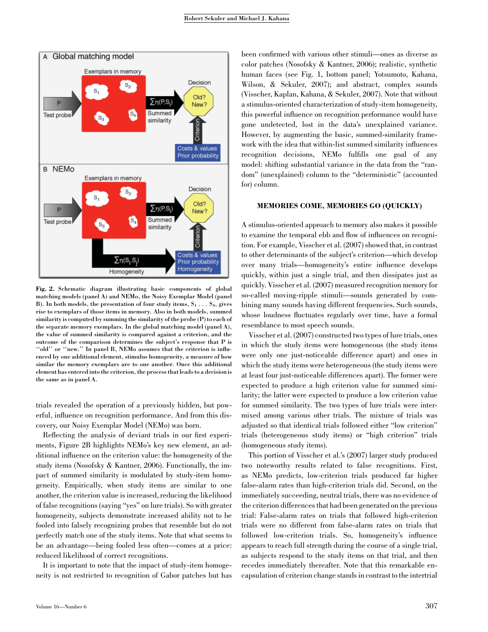

Fig. 2. Schematic diagram illustrating basic components of global matching models (panel A) and NEMo, the Noisy Exemplar Model (panel B). In both models, the presentation of four study items,  $S_1 \ldots S_4$ , gives rise to exemplars of those items in memory. Also in both models, summed similarity is computed by summing the similarity of the probe (P) to each of the separate memory exemplars. In the global matching model (panel A), the value of summed similarity is compared against a criterion, and the outcome of the comparison determines the subject's response that P is ''old'' or ''new.'' In panel B, NEMo assumes that the criterion is influenced by one additional element, stimulus homogeneity, a measure of how similar the memory exemplars are to one another. Once this additional element has entered into the criterion, the process that leads to a decision is the same as in panel A.

trials revealed the operation of a previously hidden, but powerful, influence on recognition performance. And from this discovery, our Noisy Exemplar Model (NEMo) was born.

Reflecting the analysis of deviant trials in our first experiments, Figure 2B highlights NEMo's key new element, an additional influence on the criterion value: the homogeneity of the study items (Nosofsky & Kantner, 2006). Functionally, the impact of summed similarity is modulated by study-item homogeneity. Empirically, when study items are similar to one another, the criterion value is increased, reducing the likelihood of false recognitions (saying ''yes'' on lure trials). So with greater homogeneity, subjects demonstrate increased ability not to be fooled into falsely recognizing probes that resemble but do not perfectly match one of the study items. Note that what seems to be an advantage—being fooled less often—comes at a price: reduced likelihood of correct recognitions.

It is important to note that the impact of study-item homogeneity is not restricted to recognition of Gabor patches but has

been confirmed with various other stimuli—ones as diverse as color patches (Nosofsky & Kantner, 2006); realistic, synthetic human faces (see Fig. 1, bottom panel; Yotsumoto, Kahana, Wilson, & Sekuler, 2007); and abstract, complex sounds (Visscher, Kaplan, Kahana, & Sekuler, 2007). Note that without a stimulus-oriented characterization of study-item homogeneity, this powerful influence on recognition performance would have gone undetected, lost in the data's unexplained variance. However, by augmenting the basic, summed-similarity framework with the idea that within-list summed similarity influences recognition decisions, NEMo fulfills one goal of any model: shifting substantial variance in the data from the "random'' (unexplained) column to the ''deterministic'' (accounted for) column.

#### MEMORIES COME, MEMORIES GO (QUICKLY)

A stimulus-oriented approach to memory also makes it possible to examine the temporal ebb and flow of influences on recognition. For example, Visscher et al. (2007) showed that, in contrast to other determinants of the subject's criterion—which develop over many trials—homogeneity's entire influence develops quickly, within just a single trial, and then dissipates just as quickly. Visscher et al. (2007) measured recognition memory for so-called moving-ripple stimuli—sounds generated by combining many sounds having different frequencies. Such sounds, whose loudness fluctuates regularly over time, have a formal resemblance to most speech sounds.

Visscher et al. (2007) constructed two types of lure trials, ones in which the study items were homogeneous (the study items were only one just-noticeable difference apart) and ones in which the study items were heterogeneous (the study items were at least four just-noticeable differences apart). The former were expected to produce a high criterion value for summed similarity; the latter were expected to produce a low criterion value for summed similarity. The two types of lure trials were intermixed among various other trials. The mixture of trials was adjusted so that identical trials followed either ''low criterion'' trials (heterogeneous study items) or ''high criterion'' trials (homogeneous study items).

This portion of Visscher et al.'s (2007) larger study produced two noteworthy results related to false recognitions. First, as NEMo predicts, low-criterion trials produced far higher false-alarm rates than high-criterion trials did. Second, on the immediately succeeding, neutral trials, there was no evidence of the criterion differences that had been generated on the previous trial: False-alarm rates on trials that followed high-criterion trials were no different from false-alarm rates on trials that followed low-criterion trials. So, homogeneity's influence appears to reach full strength during the course of a single trial, as subjects respond to the study items on that trial, and then recedes immediately thereafter. Note that this remarkable encapsulation of criterion change stands in contrast to the intertrial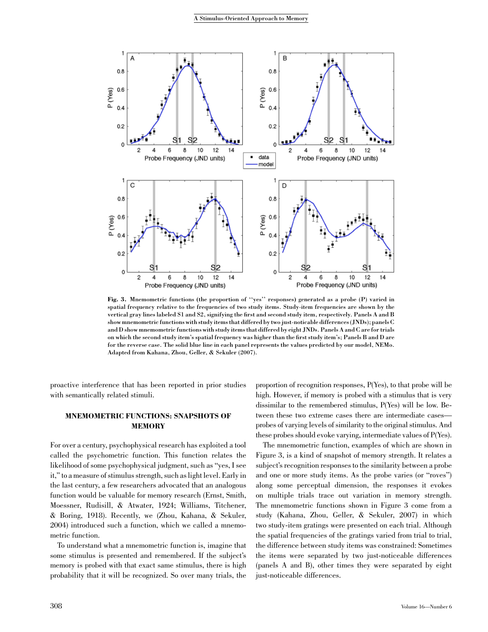

Fig. 3. Mnemometric functions (the proportion of ''yes'' responses) generated as a probe (P) varied in spatial frequency relative to the frequencies of two study items. Study-item frequencies are shown by the vertical gray lines labeled S1 and S2, signifying the first and second study item, respectively. Panels A and B show mnemometric functions with study items that differed by two just-noticable differences (JNDs); panels C and D show mnemometric functions with study items that differed by eight JNDs. Panels A and C are for trials on which the second study item's spatial frequency was higher than the first study item's; Panels B and D are for the reverse case. The solid blue line in each panel represents the values predicted by our model, NEMo. Adapted from Kahana, Zhou, Geller, & Sekuler (2007).

proactive interference that has been reported in prior studies with semantically related stimuli.

# MNEMOMETRIC FUNCTIONS: SNAPSHOTS OF **MEMORY**

For over a century, psychophysical research has exploited a tool called the psychometric function. This function relates the likelihood of some psychophysical judgment, such as ''yes, I see it,'' to a measure of stimulus strength, such as light level. Early in the last century, a few researchers advocated that an analogous function would be valuable for memory research (Ernst, Smith, Moessner, Rudisill, & Atwater, 1924; Williams, Titchener, & Boring, 1918). Recently, we (Zhou, Kahana, & Sekuler, 2004) introduced such a function, which we called a mnemometric function.

To understand what a mnemometric function is, imagine that some stimulus is presented and remembered. If the subject's memory is probed with that exact same stimulus, there is high probability that it will be recognized. So over many trials, the proportion of recognition responses, P(Yes), to that probe will be high. However, if memory is probed with a stimulus that is very dissimilar to the remembered stimulus, P(Yes) will be low. Between these two extreme cases there are intermediate cases probes of varying levels of similarity to the original stimulus. And these probes should evoke varying, intermediate values of P(Yes).

The mnemometric function, examples of which are shown in Figure 3, is a kind of snapshot of memory strength. It relates a subject's recognition responses to the similarity between a probe and one or more study items. As the probe varies (or ''roves'') along some perceptual dimension, the responses it evokes on multiple trials trace out variation in memory strength. The mnemometric functions shown in Figure 3 come from a study (Kahana, Zhou, Geller, & Sekuler, 2007) in which two study-item gratings were presented on each trial. Although the spatial frequencies of the gratings varied from trial to trial, the difference between study items was constrained: Sometimes the items were separated by two just-noticeable differences (panels A and B), other times they were separated by eight just-noticeable differences.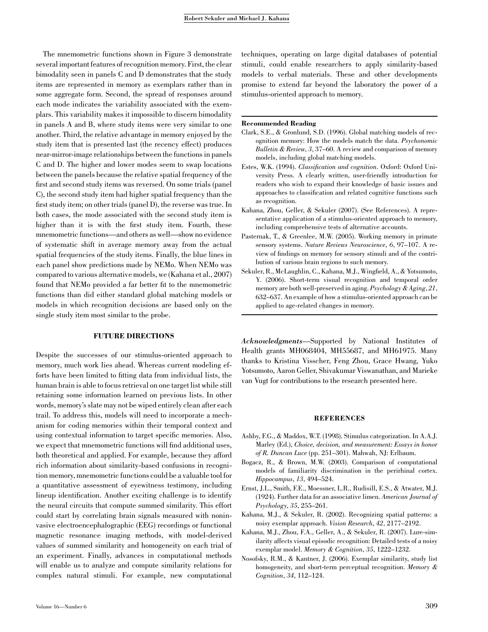The mnemometric functions shown in Figure 3 demonstrate several important features of recognition memory. First, the clear bimodality seen in panels C and D demonstrates that the study items are represented in memory as exemplars rather than in some aggregate form. Second, the spread of responses around each mode indicates the variability associated with the exemplars. This variability makes it impossible to discern bimodality in panels A and B, where study items were very similar to one another. Third, the relative advantage in memory enjoyed by the study item that is presented last (the recency effect) produces near-mirror-image relationships between the functions in panels C and D. The higher and lower modes seem to swap locations between the panels because the relative spatial frequency of the first and second study items was reversed. On some trials (panel C), the second study item had higher spatial frequency than the first study item; on other trials (panel D), the reverse was true. In both cases, the mode associated with the second study item is higher than it is with the first study item. Fourth, these mnemometric functions—and others as well—show no evidence of systematic shift in average memory away from the actual spatial frequencies of the study items. Finally, the blue lines in each panel show predictions made by NEMo. When NEMo was compared to various alternative models, we (Kahana et al., 2007) found that NEMo provided a far better fit to the mnemometric functions than did either standard global matching models or models in which recognition decisions are based only on the single study item most similar to the probe.

### FUTURE DIRECTIONS

Despite the successes of our stimulus-oriented approach to memory, much work lies ahead. Whereas current modeling efforts have been limited to fitting data from individual lists, the human brain is able to focus retrieval on one target list while still retaining some information learned on previous lists. In other words, memory's slate may not be wiped entirely clean after each trail. To address this, models will need to incorporate a mechanism for coding memories within their temporal context and using contextual information to target specific memories. Also, we expect that mnemometric functions will find additional uses, both theoretical and applied. For example, because they afford rich information about similarity-based confusions in recognition memory, mnemometric functions could be a valuable tool for a quantitative assessment of eyewitness testimony, including lineup identification. Another exciting challenge is to identify the neural circuits that compute summed similarity. This effort could start by correlating brain signals measured with noninvasive electroencephalographic (EEG) recordings or functional magnetic resonance imaging methods, with model-derived values of summed similarity and homogeneity on each trial of an experiment. Finally, advances in computational methods will enable us to analyze and compute similarity relations for complex natural stimuli. For example, new computational techniques, operating on large digital databases of potential stimuli, could enable researchers to apply similarity-based models to verbal materials. These and other developments promise to extend far beyond the laboratory the power of a stimulus-oriented approach to memory.

#### Recommended Reading

- Clark, S.E., & Gronlund, S.D. (1996). Global matching models of recognition memory: How the models match the data. Psychonomic Bulletin & Review, 3, 37–60. A review and comparison of memory models, including global matching models.
- Estes, W.K. (1994). Classification and cognition. Oxford: Oxford University Press. A clearly written, user-friendly introduction for readers who wish to expand their knowledge of basic issues and approaches to classification and related cognitive functions such as recognition.
- Kahana, Zhou, Geller, & Sekuler (2007). (See References). A representative application of a stimulus-oriented approach to memory, including comprehensive tests of alternative accounts.
- Pasternak, T., & Greenlee, M.W. (2005). Working memory in primate sensory systems. Nature Reviews Neuroscience, 6, 97–107. A review of findings on memory for sensory stimuli and of the contribution of various brain regions to such memory.
- Sekuler, R., McLaughlin, C., Kahana, M.J., Wingfield, A., & Yotsumoto, Y. (2006). Short-term visual recognition and temporal order memory are both well-preserved in aging. Psychology & Aging, 21, 632–637. An example of how a stimulus-oriented approach can be applied to age-related changes in memory.

Acknowledgments—Supported by National Institutes Health grants MH068404, MH55687, and MH61975. Many thanks to Kristina Visscher, Feng Zhou, Grace Hwang, Yuko Yotsumoto, Aaron Geller, Shivakumar Viswanathan, and Marieke van Vugt for contributions to the research presented here.

#### REFERENCES

- Ashby, F.G., & Maddox, W.T. (1998). Stimulus categorization. In A.A.J. Marley (Ed.), Choice, decision, and measurement: Essays in honor of R. Duncan Luce (pp. 251–301). Mahwah, NJ: Erlbaum.
- Bogacz, R., & Brown, M.W. (2003). Comparison of computational models of familiarity discrimination in the perirhinal cortex. Hippocampus, 13, 494–524.
- Ernst, J.L., Smith, F.E., Moessner, L.R., Rudisill, E.S., & Atwater, M.J. (1924). Further data for an associative limen. American Journal of Psychology, 35, 255–261.
- Kahana, M.J., & Sekuler, R. (2002). Recognizing spatial patterns: a noisy exemplar approach. Vision Research, 42, 2177–2192.
- Kahana, M.J., Zhou, F.A., Geller, A., & Sekuler, R. (2007). Lure-similarity affects visual episodic recognition: Detailed tests of a noisy exemplar model. Memory & Cognition, 35, 1222–1232.
- Nosofsky, R.M., & Kantner, J. (2006). Exemplar similarity, study list homogeneity, and short-term perceptual recognition. Memory & Cognition, 34, 112–124.